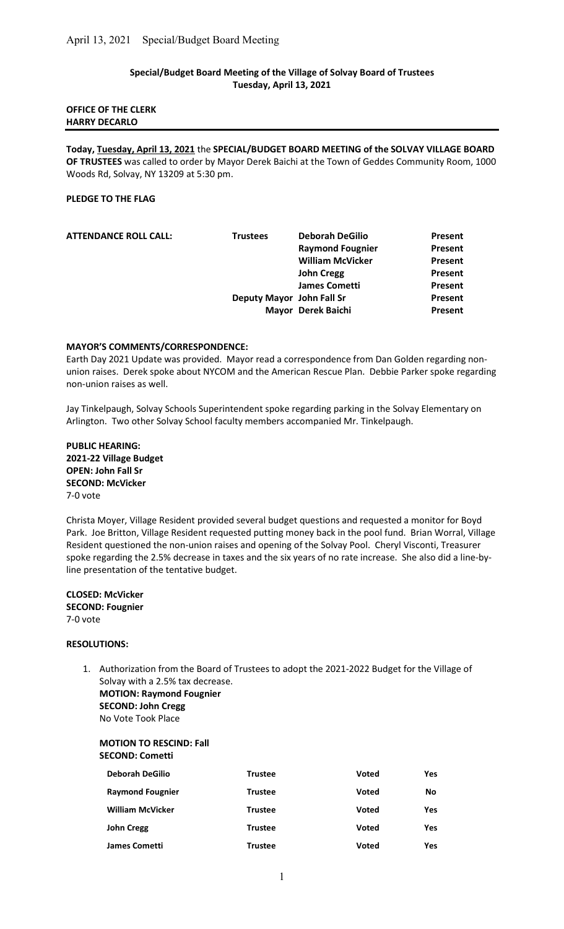### Special/Budget Board Meeting of the Village of Solvay Board of Trustees Tuesday, April 13, 2021

#### OFFICE OF THE CLERK HARRY DECARLO

Today, Tuesday, April 13, 2021 the SPECIAL/BUDGET BOARD MEETING of the SOLVAY VILLAGE BOARD OF TRUSTEES was called to order by Mayor Derek Baichi at the Town of Geddes Community Room, 1000 Woods Rd, Solvay, NY 13209 at 5:30 pm.

### PLEDGE TO THE FLAG

| <b>ATTENDANCE ROLL CALL:</b> | <b>Trustees</b>           | <b>Deborah DeGilio</b>  | Present |
|------------------------------|---------------------------|-------------------------|---------|
|                              |                           | <b>Raymond Fougnier</b> | Present |
|                              |                           | <b>William McVicker</b> | Present |
|                              |                           | <b>John Cregg</b>       | Present |
|                              |                           | <b>James Cometti</b>    | Present |
|                              | Deputy Mayor John Fall Sr |                         | Present |
|                              |                           | Mayor Derek Baichi      | Present |
|                              |                           |                         |         |

#### MAYOR'S COMMENTS/CORRESPONDENCE:

Earth Day 2021 Update was provided. Mayor read a correspondence from Dan Golden regarding nonunion raises. Derek spoke about NYCOM and the American Rescue Plan. Debbie Parker spoke regarding non-union raises as well.

Jay Tinkelpaugh, Solvay Schools Superintendent spoke regarding parking in the Solvay Elementary on Arlington. Two other Solvay School faculty members accompanied Mr. Tinkelpaugh.

PUBLIC HEARING: 2021-22 Village Budget OPEN: John Fall Sr SECOND: McVicker 7-0 vote

Christa Moyer, Village Resident provided several budget questions and requested a monitor for Boyd Park. Joe Britton, Village Resident requested putting money back in the pool fund. Brian Worral, Village Resident questioned the non-union raises and opening of the Solvay Pool. Cheryl Visconti, Treasurer spoke regarding the 2.5% decrease in taxes and the six years of no rate increase. She also did a line-byline presentation of the tentative budget.

CLOSED: McVicker SECOND: Fougnier 7-0 vote

#### RESOLUTIONS:

1. Authorization from the Board of Trustees to adopt the 2021-2022 Budget for the Village of Solvay with a 2.5% tax decrease. MOTION: Raymond Fougnier SECOND: John Cregg

No Vote Took Place

#### MOTION TO RESCIND: Fall SECOND: Cometti

| <b>Deborah DeGilio</b>  | <b>Trustee</b> | Voted        | Yes |
|-------------------------|----------------|--------------|-----|
| <b>Raymond Fougnier</b> | <b>Trustee</b> | Voted        | No  |
| <b>William McVicker</b> | <b>Trustee</b> | Voted        | Yes |
| <b>John Cregg</b>       | <b>Trustee</b> | Voted        | Yes |
| <b>James Cometti</b>    | <b>Trustee</b> | <b>Voted</b> | Yes |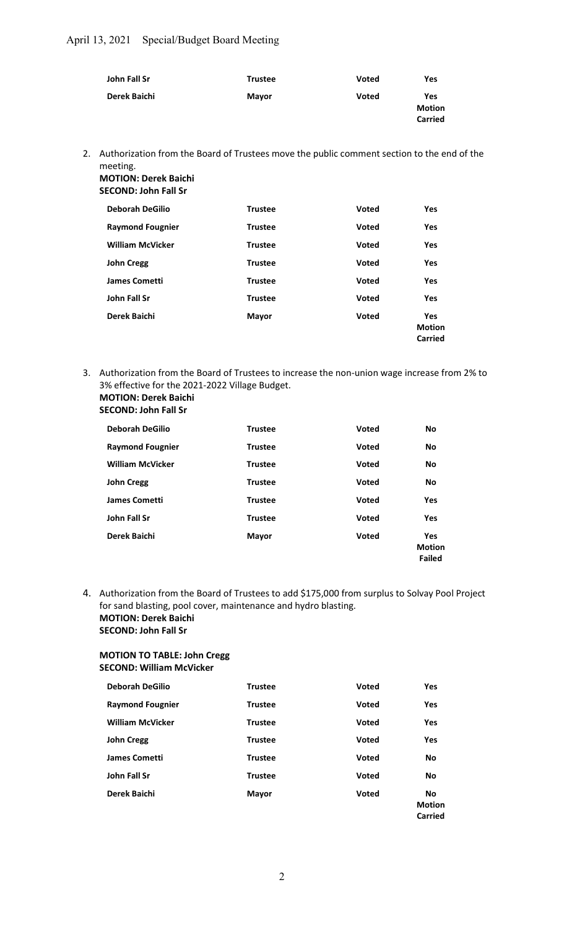| John Fall Sr | <b>Trustee</b> | Voted | Yes                                    |
|--------------|----------------|-------|----------------------------------------|
| Derek Baichi | <b>Mayor</b>   | Voted | Yes<br><b>Motion</b><br><b>Carried</b> |

2. Authorization from the Board of Trustees move the public comment section to the end of the meeting.

| <b>MOTION: Derek Baichi</b> |                |              |               |
|-----------------------------|----------------|--------------|---------------|
| <b>SECOND: John Fall Sr</b> |                |              |               |
| <b>Deborah DeGilio</b>      | <b>Trustee</b> | Voted        | Yes           |
| <b>Raymond Fougnier</b>     | <b>Trustee</b> | <b>Voted</b> | Yes           |
| <b>William McVicker</b>     | <b>Trustee</b> | Voted        | <b>Yes</b>    |
| <b>John Cregg</b>           | <b>Trustee</b> | <b>Voted</b> | Yes           |
| <b>James Cometti</b>        | <b>Trustee</b> | Voted        | Yes           |
| <b>John Fall Sr</b>         | <b>Trustee</b> | Voted        | <b>Yes</b>    |
| Derek Baichi                | <b>Mayor</b>   | Voted        | <b>Yes</b>    |
|                             |                |              | <b>Motion</b> |
|                             |                |              | Carried       |

3. Authorization from the Board of Trustees to increase the non-union wage increase from 2% to 3% effective for the 2021-2022 Village Budget. MOTION: Derek Baichi

## SECOND: John Fall Sr

| <b>Deborah DeGilio</b>  | <b>Trustee</b> | <b>Voted</b> | No                                    |
|-------------------------|----------------|--------------|---------------------------------------|
| <b>Raymond Fougnier</b> | <b>Trustee</b> | <b>Voted</b> | <b>No</b>                             |
| <b>William McVicker</b> | <b>Trustee</b> | <b>Voted</b> | <b>No</b>                             |
| <b>John Cregg</b>       | <b>Trustee</b> | <b>Voted</b> | No                                    |
| <b>James Cometti</b>    | <b>Trustee</b> | <b>Voted</b> | Yes                                   |
| John Fall Sr            | <b>Trustee</b> | <b>Voted</b> | Yes                                   |
| Derek Baichi            | <b>Mayor</b>   | <b>Voted</b> | Yes<br><b>Motion</b><br><b>Failed</b> |

4. Authorization from the Board of Trustees to add \$175,000 from surplus to Solvay Pool Project for sand blasting, pool cover, maintenance and hydro blasting. MOTION: Derek Baichi SECOND: John Fall Sr

### MOTION TO TABLE: John Cregg SECOND: William McVicker

| <b>Deborah DeGilio</b>  | <b>Trustee</b> | <b>Voted</b> | Yes                            |
|-------------------------|----------------|--------------|--------------------------------|
| <b>Raymond Fougnier</b> | <b>Trustee</b> | <b>Voted</b> | Yes                            |
| <b>William McVicker</b> | <b>Trustee</b> | <b>Voted</b> | Yes                            |
| <b>John Cregg</b>       | <b>Trustee</b> | <b>Voted</b> | Yes                            |
| <b>James Cometti</b>    | <b>Trustee</b> | <b>Voted</b> | <b>No</b>                      |
| John Fall Sr            | <b>Trustee</b> | <b>Voted</b> | <b>No</b>                      |
| Derek Baichi            | Mayor          | <b>Voted</b> | No<br><b>Motion</b><br>Carried |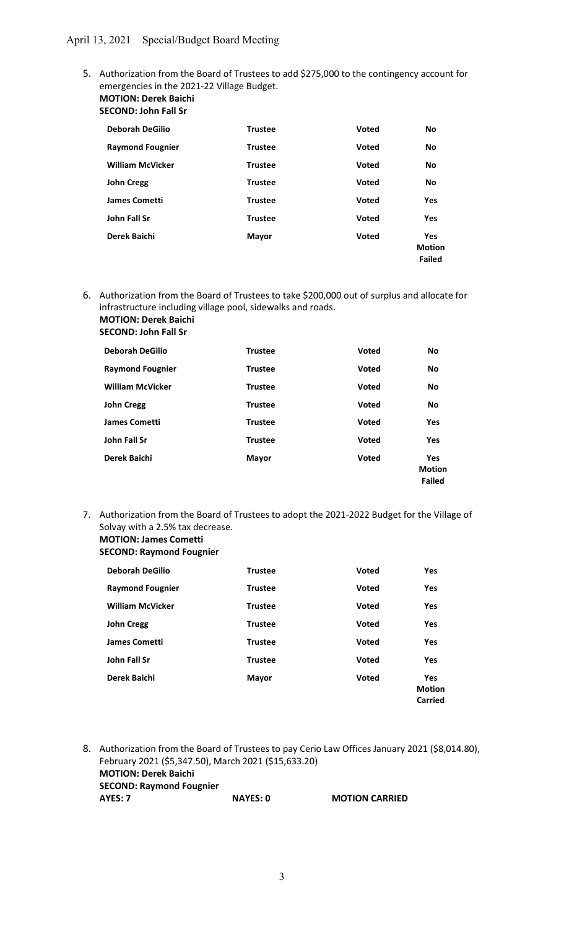5. Authorization from the Board of Trustees to add \$275,000 to the contingency account for emergencies in the 2021-22 Village Budget. MOTION: Derek Baichi

## SECOND: John Fall Sr

| <b>Deborah DeGilio</b>  | <b>Trustee</b> | <b>Voted</b> | No                                    |
|-------------------------|----------------|--------------|---------------------------------------|
| <b>Raymond Fougnier</b> | <b>Trustee</b> | <b>Voted</b> | <b>No</b>                             |
| <b>William McVicker</b> | <b>Trustee</b> | <b>Voted</b> | <b>No</b>                             |
| <b>John Cregg</b>       | <b>Trustee</b> | <b>Voted</b> | <b>No</b>                             |
| <b>James Cometti</b>    | <b>Trustee</b> | <b>Voted</b> | Yes                                   |
| John Fall Sr            | <b>Trustee</b> | <b>Voted</b> | <b>Yes</b>                            |
| Derek Baichi            | <b>Mayor</b>   | <b>Voted</b> | Yes<br><b>Motion</b><br><b>Failed</b> |

6. Authorization from the Board of Trustees to take \$200,000 out of surplus and allocate for infrastructure including village pool, sidewalks and roads. MOTION: Derek Baichi

# SECOND: John Fall Sr

| <b>Deborah DeGilio</b>  | <b>Trustee</b> | <b>Voted</b> | <b>No</b>                                    |
|-------------------------|----------------|--------------|----------------------------------------------|
| <b>Raymond Fougnier</b> | <b>Trustee</b> | <b>Voted</b> | <b>No</b>                                    |
| <b>William McVicker</b> | <b>Trustee</b> | <b>Voted</b> | <b>No</b>                                    |
| <b>John Cregg</b>       | <b>Trustee</b> | <b>Voted</b> | <b>No</b>                                    |
| <b>James Cometti</b>    | <b>Trustee</b> | <b>Voted</b> | Yes                                          |
| John Fall Sr            | <b>Trustee</b> | <b>Voted</b> | <b>Yes</b>                                   |
| Derek Baichi            | <b>Mayor</b>   | <b>Voted</b> | <b>Yes</b><br><b>Motion</b><br><b>Failed</b> |

7. Authorization from the Board of Trustees to adopt the 2021-2022 Budget for the Village of Solvay with a 2.5% tax decrease. MOTION: James Cometti

## SECOND: Raymond Fougnier

| <b>Deborah DeGilio</b>  | <b>Trustee</b> | <b>Voted</b> | <b>Yes</b>                             |
|-------------------------|----------------|--------------|----------------------------------------|
| <b>Raymond Fougnier</b> | <b>Trustee</b> | <b>Voted</b> | Yes                                    |
| <b>William McVicker</b> | <b>Trustee</b> | <b>Voted</b> | <b>Yes</b>                             |
| <b>John Cregg</b>       | <b>Trustee</b> | <b>Voted</b> | Yes                                    |
| <b>James Cometti</b>    | <b>Trustee</b> | Voted        | <b>Yes</b>                             |
| John Fall Sr            | <b>Trustee</b> | <b>Voted</b> | <b>Yes</b>                             |
| Derek Baichi            | <b>Mayor</b>   | <b>Voted</b> | <b>Yes</b><br><b>Motion</b><br>Carried |

8. Authorization from the Board of Trustees to pay Cerio Law Offices January 2021 (\$8,014.80), February 2021 (\$5,347.50), March 2021 (\$15,633.20) MOTION: Derek Baichi SECOND: Raymond Fougnier AYES: 7 NAYES: 0 MOTION CARRIED